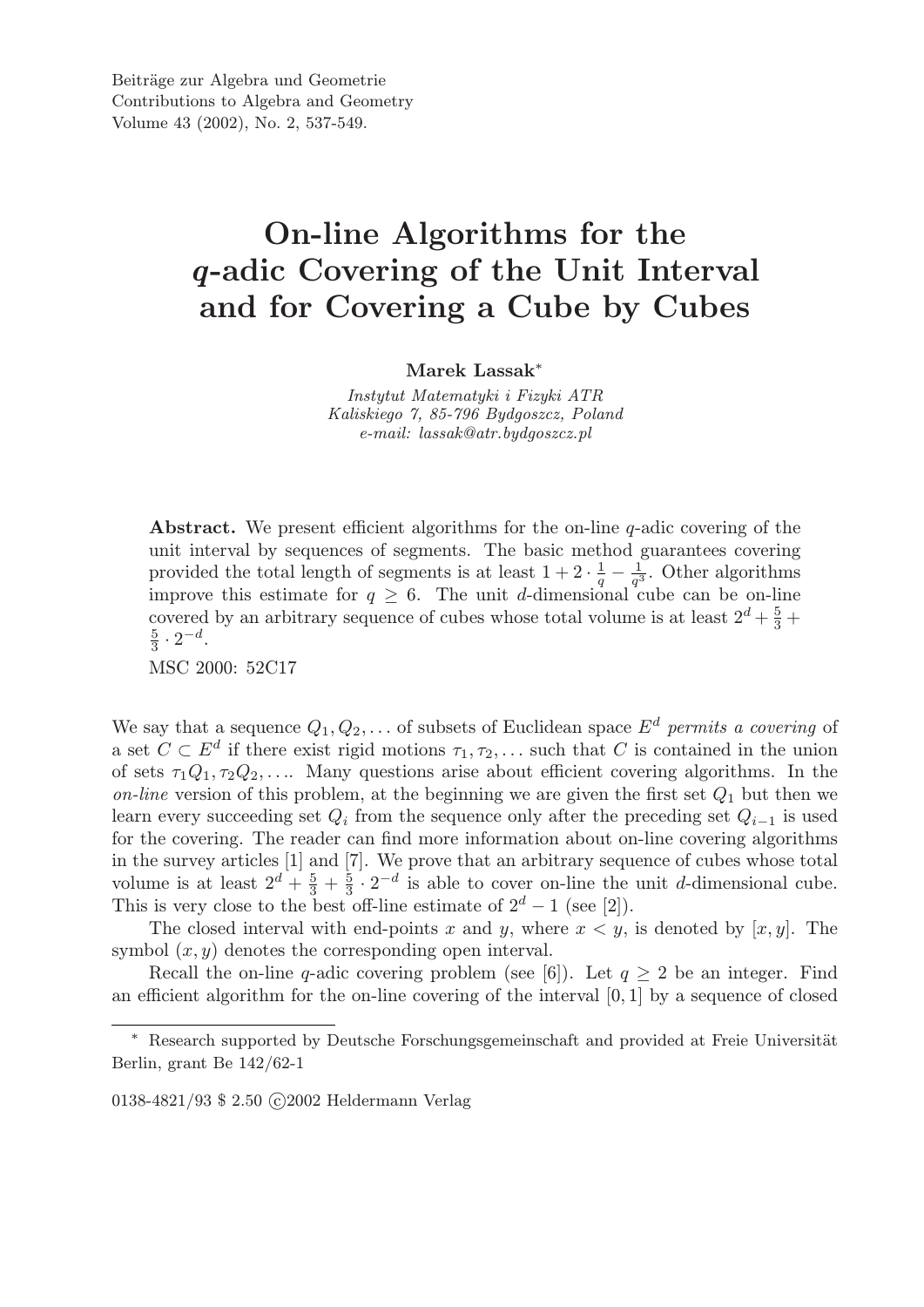## On-line Algorithms for the *q*-adic Covering of the Unit Interval and for Covering a Cube by Cubes

Marek Lassak<sup>∗</sup>

*Instytut Matematyki i Fizyki ATR Kaliskiego 7, 85-796 Bydgoszcz, Poland e-mail: lassak@atr.bydgoszcz.pl*

Abstract. We present efficient algorithms for the on-line q-adic covering of the unit interval by sequences of segments. The basic method guarantees covering provided the total length of segments is at least  $1+2\cdot\frac{1}{a}$  $rac{1}{q} - \frac{1}{q^3}$  $\frac{1}{q^3}$ . Other algorithms improve this estimate for  $q \geq 6$ . The unit d-dimensional cube can be on-line covered by an arbitrary sequence of cubes whose total volume is at least  $2^d + \frac{5}{3}$  $\frac{5}{3}$  + 5  $\frac{5}{3} \cdot 2^{-d}$ .

MSC 2000: 52C17

We say that a sequence  $Q_1, Q_2, \ldots$  of subsets of Euclidean space  $E^d$  permits a covering of a set  $C \subset E^d$  if there exist rigid motions  $\tau_1, \tau_2, \ldots$  such that C is contained in the union of sets  $\tau_1Q_1, \tau_2Q_2, \ldots$  Many questions arise about efficient covering algorithms. In the *on-line* version of this problem, at the beginning we are given the first set  $Q_1$  but then we learn every succeeding set  $Q_i$  from the sequence only after the preceding set  $Q_{i-1}$  is used for the covering. The reader can find more information about on-line covering algorithms in the survey articles [1] and [7]. We prove that an arbitrary sequence of cubes whose total volume is at least  $2^d + \frac{5}{3}$  $\frac{5}{3} + \frac{5}{3}$  $\frac{5}{3} \cdot 2^{-d}$  is able to cover on-line the unit d-dimensional cube. This is very close to the best off-line estimate of  $2^d - 1$  (see [2]).

The closed interval with end-points x and y, where  $x < y$ , is denoted by  $[x, y]$ . The symbol  $(x, y)$  denotes the corresponding open interval.

Recall the on-line q-adic covering problem (see [6]). Let  $q \geq 2$  be an integer. Find an efficient algorithm for the on-line covering of the interval [0, 1] by a sequence of closed

0138-4821/93 \$ 2.50 C 2002 Heldermann Verlag

<sup>\*</sup> Research supported by Deutsche Forschungsgemeinschaft and provided at Freie Universität Berlin, grant Be 142/62-1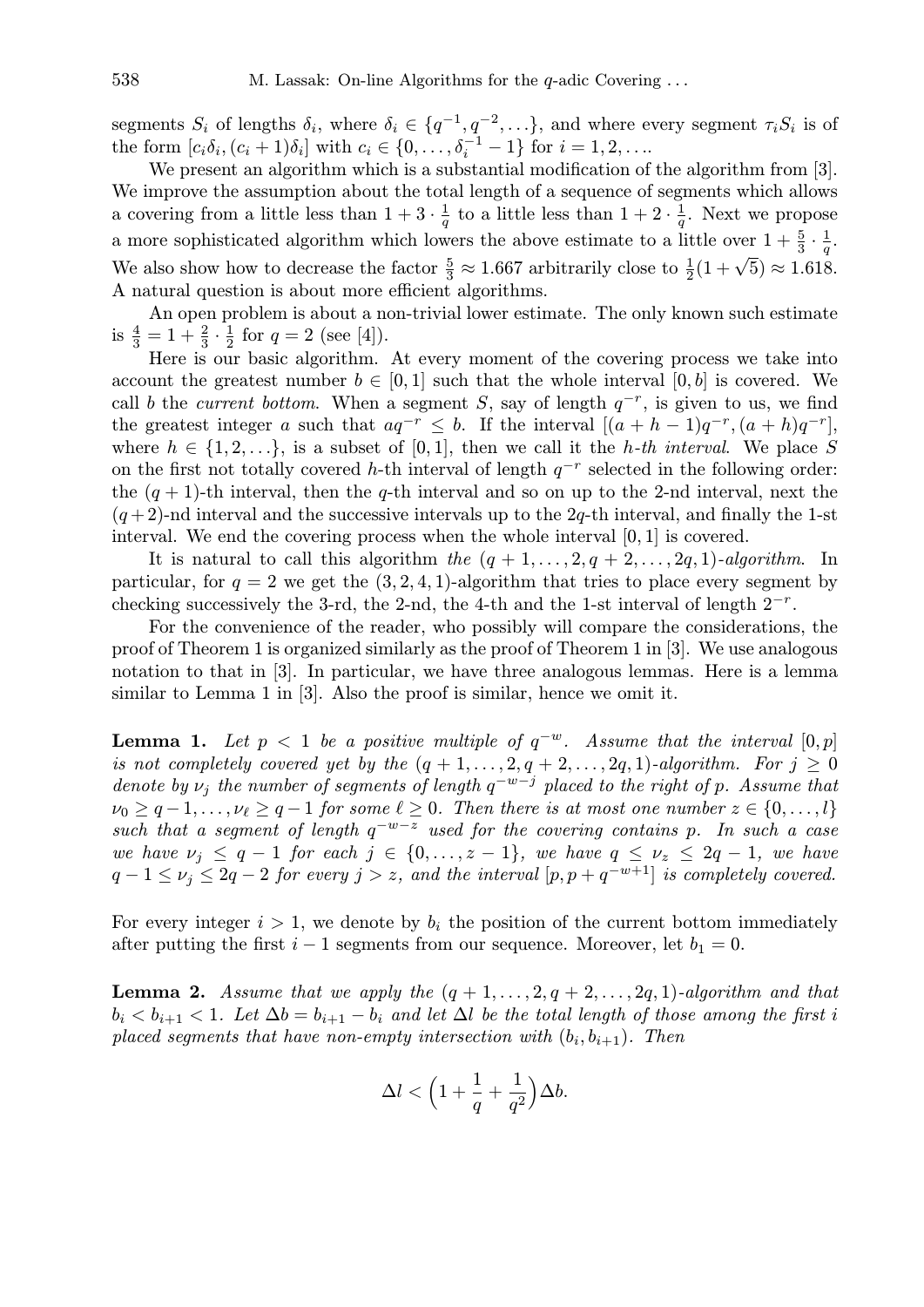segments  $S_i$  of lengths  $\delta_i$ , where  $\delta_i \in \{q^{-1}, q^{-2}, \ldots\}$ , and where every segment  $\tau_i S_i$  is of the form  $[c_i \delta_i, (c_i + 1)\delta_i]$  with  $c_i \in \{0, ..., \delta_i^{-1} - 1\}$  for  $i = 1, 2, ...$ 

We present an algorithm which is a substantial modification of the algorithm from [3]. We improve the assumption about the total length of a sequence of segments which allows a covering from a little less than  $1 + 3 \cdot \frac{1}{a}$  $\frac{1}{q}$  to a little less than  $1 + 2 \cdot \frac{1}{q}$  $\frac{1}{q}$ . Next we propose a more sophisticated algorithm which lowers the above estimate to a little over  $1 + \frac{5}{3} \cdot \frac{1}{q}$  $\frac{1}{q}$  . We also show how to decrease the factor  $\frac{5}{3} \approx 1.667$  arbitrarily close to  $\frac{1}{2}(1+\sqrt{5}) \approx 1.618$ . A natural question is about more efficient algorithms.

An open problem is about a non-trivial lower estimate. The only known such estimate is  $\frac{4}{3} = 1 + \frac{2}{3} \cdot \frac{1}{2}$  $\frac{1}{2}$  for  $q = 2$  (see [4]).

Here is our basic algorithm. At every moment of the covering process we take into account the greatest number  $b \in [0,1]$  such that the whole interval  $[0,b]$  is covered. We call b the *current bottom*. When a segment S, say of length  $q^{-r}$ , is given to us, we find the greatest integer a such that  $aq^{-r} \leq b$ . If the interval  $[(a+h-1)q^{-r}, (a+h)q^{-r}]$ , where  $h \in \{1, 2, \ldots\}$ , is a subset of [0,1], then we call it the *h*-th interval. We place S on the first not totally covered h-th interval of length  $q^{-r}$  selected in the following order: the  $(q + 1)$ -th interval, then the q-th interval and so on up to the 2-nd interval, next the  $(q+2)$ -nd interval and the successive intervals up to the 2q-th interval, and finally the 1-st interval. We end the covering process when the whole interval  $[0, 1]$  is covered.

It is natural to call this algorithm *the*  $(q + 1, \ldots, 2, q + 2, \ldots, 2q, 1)$ *-algorithm*. In particular, for  $q = 2$  we get the  $(3, 2, 4, 1)$ -algorithm that tries to place every segment by checking successively the 3-rd, the 2-nd, the 4-th and the 1-st interval of length  $2^{-r}$ .

For the convenience of the reader, who possibly will compare the considerations, the proof of Theorem 1 is organized similarly as the proof of Theorem 1 in [3]. We use analogous notation to that in [3]. In particular, we have three analogous lemmas. Here is a lemma similar to Lemma 1 in [3]. Also the proof is similar, hence we omit it.

**Lemma 1.** Let  $p < 1$  be a positive multiple of  $q^{-w}$ . Assume that the interval  $[0, p]$ *is not completely covered yet by the*  $(q + 1, \ldots, 2, q + 2, \ldots, 2q, 1)$ *-algorithm. For*  $j \geq 0$ *denote by*  $\nu_j$  the number of segments of length  $q^{-w-j}$  placed to the right of p. Assume that  $\nu_0 \geq q-1, \ldots, \nu_\ell \geq q-1$  *for some*  $\ell \geq 0$ *. Then there is at most one number*  $z \in \{0, \ldots, l\}$ *such that a segment of length* q −w−z *used for the covering contains* p*. In such a case we have*  $\nu_j \leq q-1$  *for each*  $j \in \{0, \ldots, z-1\}$ *, we have*  $q \leq \nu_z \leq 2q-1$ *, we have*  $q-1 \le v_j \le 2q-2$  for every  $j > z$ , and the interval  $[p, p+q^{-w+1}]$  is completely covered.

For every integer  $i > 1$ , we denote by  $b_i$  the position of the current bottom immediately after putting the first  $i - 1$  segments from our sequence. Moreover, let  $b_1 = 0$ .

**Lemma 2.** *Assume that we apply the*  $(q + 1, \ldots, 2, q + 2, \ldots, 2q, 1)$ *-algorithm and that*  $b_i < b_{i+1} < 1$ . Let  $\Delta b = b_{i+1} - b_i$  and let  $\Delta l$  be the total length of those among the first i  $p$ laced segments that have non-empty intersection with  $(b_i, b_{i+1})$ . Then

$$
\Delta l < \Big(1 + \frac{1}{q} + \frac{1}{q^2}\Big)\Delta b.
$$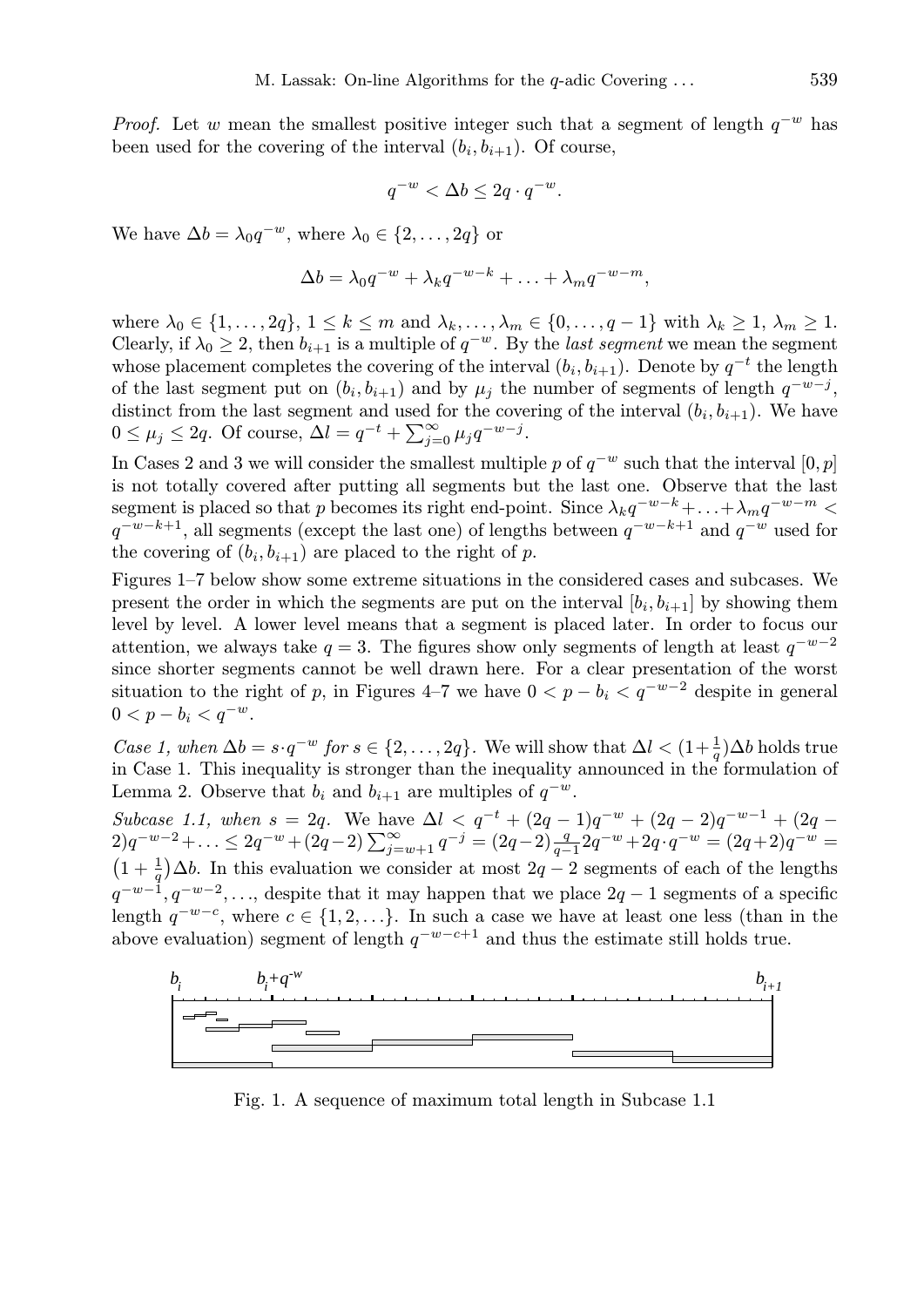*Proof.* Let w mean the smallest positive integer such that a segment of length  $q^{-w}$  has been used for the covering of the interval  $(b_i, b_{i+1})$ . Of course,

$$
q^{-w} < \Delta b \leq 2q \cdot q^{-w}.
$$

We have  $\Delta b = \lambda_0 q^{-w}$ , where  $\lambda_0 \in \{2, \ldots, 2q\}$  or

$$
\Delta b = \lambda_0 q^{-w} + \lambda_k q^{-w-k} + \ldots + \lambda_m q^{-w-m},
$$

where  $\lambda_0 \in \{1, \ldots, 2q\}, 1 \leq k \leq m$  and  $\lambda_k, \ldots, \lambda_m \in \{0, \ldots, q-1\}$  with  $\lambda_k \geq 1, \lambda_m \geq 1$ . Clearly, if  $\lambda_0 \geq 2$ , then  $b_{i+1}$  is a multiple of  $q^{-w}$ . By the *last segment* we mean the segment whose placement completes the covering of the interval  $(b_i, b_{i+1})$ . Denote by  $q^{-t}$  the length of the last segment put on  $(b_i, b_{i+1})$  and by  $\mu_j$  the number of segments of length  $q^{-w-j}$ , distinct from the last segment and used for the covering of the interval  $(b_i, b_{i+1})$ . We have distinct from the fast segment and used by  $0 \leq \mu_j \leq 2q$ . Of course,  $\Delta l = q^{-t} + \sum_{j=1}^{\infty}$  $\sum_{j=0}^{\infty} \mu_j q^{-w-j}.$ 

In Cases 2 and 3 we will consider the smallest multiple p of  $q^{-w}$  such that the interval  $[0, p]$ is not totally covered after putting all segments but the last one. Observe that the last segment is placed so that p becomes its right end-point. Since  $\lambda_k q^{-w-k} + \ldots + \lambda_m q^{-w-m}$  $q^{-w-k+1}$ , all segments (except the last one) of lengths between  $q^{-w-k+1}$  and  $q^{-w}$  used for the covering of  $(b_i, b_{i+1})$  are placed to the right of p.

Figures 1–7 below show some extreme situations in the considered cases and subcases. We present the order in which the segments are put on the interval  $[b_i, b_{i+1}]$  by showing them level by level. A lower level means that a segment is placed later. In order to focus our attention, we always take  $q = 3$ . The figures show only segments of length at least  $q^{-w-2}$ since shorter segments cannot be well drawn here. For a clear presentation of the worst situation to the right of p, in Figures 4–7 we have  $0 < p - b_i < q^{-w-2}$  despite in general  $0 < p - b_i < q^{-w}.$ 

*Case 1, when*  $\Delta b = s \cdot q^{-w}$  *for*  $s \in \{2, \ldots, 2q\}$ . We will show that  $\Delta l < (1 + \frac{1}{q})\Delta b$  holds true in Case 1. This inequality is stronger than the inequality announced in the formulation of Lemma 2. Observe that  $b_i$  and  $b_{i+1}$  are multiples of  $q^{-w}$ .

*Subcase 1.1, when*  $s = 2q$ . We have  $\Delta l < q^{-t} + (2q - 1)q^{-w} + (2q - 2)q^{-w-1} + (2q - 1)q^{-w}$  $2)q^{-w-2}+\ldots \leq 2q^{-w}+(2q-2)\sum_{j=w+1}^{\infty}q^{-j} = (2q-2)\frac{q}{q-1}2q^{-w}+2q\cdot q^{-w} = (2q+2)q^{-w} =$  $(1+\frac{1}{q})\Delta b$ . In this evaluation we consider at most  $2q-2$  segments of each of the lengths  $q^{-w-1}, q^{-w-2}, \ldots$ , despite that it may happen that we place  $2q-1$  segments of a specific length  $q^{-w-c}$ , where  $c \in \{1, 2, \ldots\}$ . In such a case we have at least one less (than in the above evaluation) segment of length  $q^{-w-c+1}$  and thus the estimate still holds true.



Fig. 1. A sequence of maximum total length in Subcase 1.1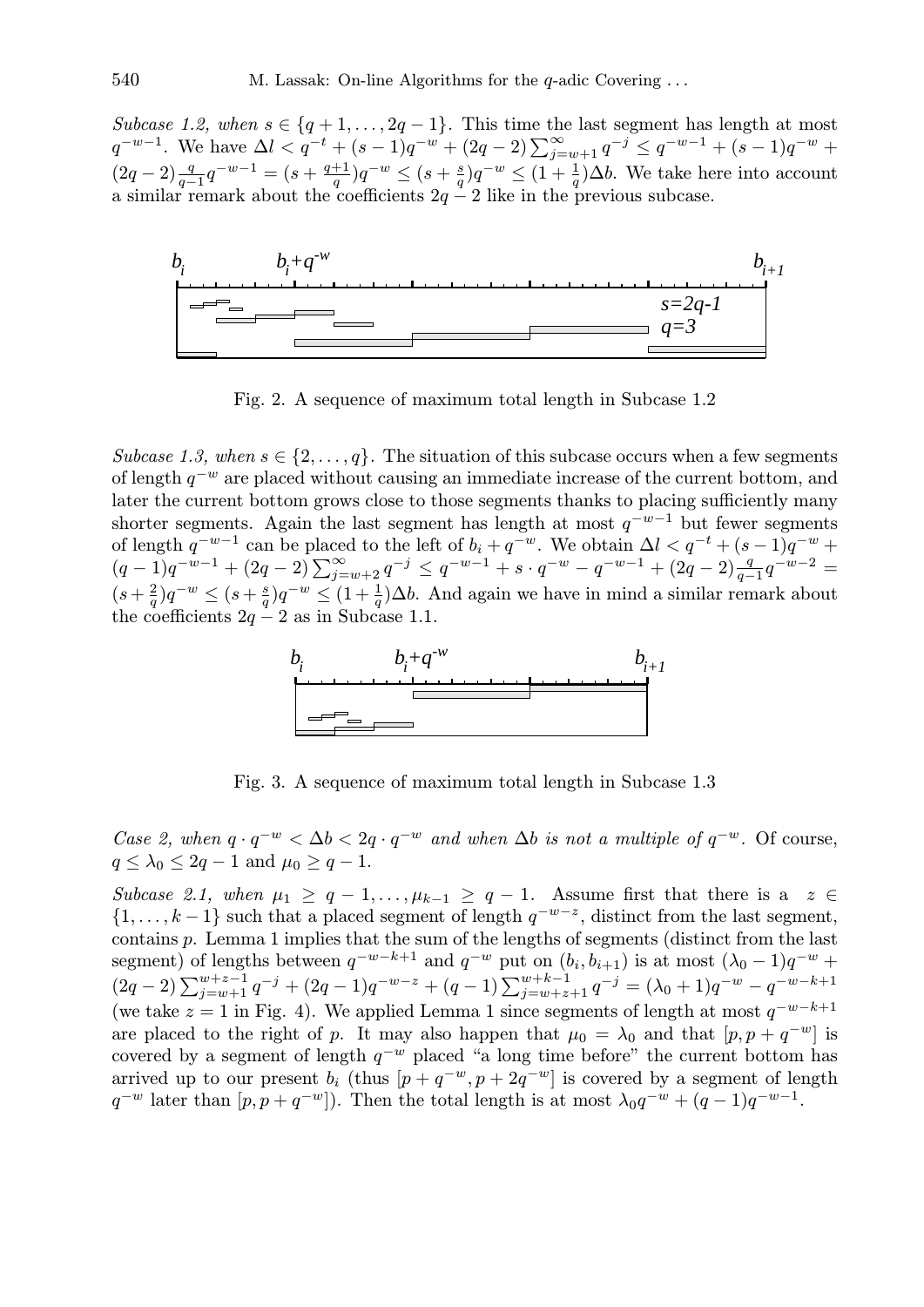*Subcase 1.2, when*  $s \in \{q+1,\ldots,2q-1\}$ . This time the last segment has length at most  $q^{-w-1}$ . We have  $\Delta l < q^{-t} + (s-1)q^{-w} + (2q-2)\sum_{j=w+1}^{\infty} q^{-j} \leq q^{-w-1} + (s-1)q^{-w} +$  $(2q-2)\frac{q}{q-1}q^{-w-1} = (s+\frac{q+1}{q})$  $\frac{+1}{q} ) q^{-w} \leq (s + \frac{s}{q}$  $\frac{s}{q}$ ) $q^{-w} \leq (1 + \frac{1}{q})\Delta b$ . We take here into account a similar remark about the coefficients  $2q - 2$  like in the previous subcase.



Fig. 2. A sequence of maximum total length in Subcase 1.2

*Subcase 1.3, when*  $s \in \{2, \ldots, q\}$ . The situation of this subcase occurs when a few segments of length  $q^{-w}$  are placed without causing an immediate increase of the current bottom, and later the current bottom grows close to those segments thanks to placing sufficiently many shorter segments. Again the last segment has length at most  $q^{-w-1}$  but fewer segments of length  $q^{-w-1}$  can be placed to the left of  $b_i + q^{-w}$ . We obtain  $\Delta l < q^{-t} + (s-1)q^{-w}$  + of length q can be placed to the left of  $v_i + q$ . We obtain  $\Delta t < q$  +  $(s-1)q$  +  $(q-1)q^{-w-1} + (2q-2)\sum_{j=w+2}^{\infty} q^{-j} \leq q^{-w-1} + s \cdot q^{-w} - q^{-w-1} + (2q-2)\frac{q}{q-1}q^{-w-2} =$  $(s + \frac{2}{a})$  $\frac{2}{q}$ ) $q^{-w} \leq (s + \frac{s}{q})$  $\frac{s}{q}$ ) $q^{-w} \leq (1 + \frac{1}{q})\Delta b$ . And again we have in mind a similar remark about the coefficients  $2q - 2$  as in Subcase 1.1.



Fig. 3. A sequence of maximum total length in Subcase 1.3

*Case 2, when*  $q \cdot q^{-w} < \Delta b < 2q \cdot q^{-w}$  *and when*  $\Delta b$  *is not a multiple of*  $q^{-w}$ . Of course,  $q \leq \lambda_0 \leq 2q - 1$  and  $\mu_0 \geq q - 1$ .

*Subcase 2.1, when*  $\mu_1 \geq q-1, \ldots, \mu_{k-1} \geq q-1$ . Assume first that there is a  $z \in$  $\{1,\ldots,k-1\}$  such that a placed segment of length  $q^{-w-z}$ , distinct from the last segment, contains p. Lemma 1 implies that the sum of the lengths of segments (distinct from the last segment) of lengths between  $q^{-w-k+1}$  and  $q^{-w}$  put on  $(b_i, b_{i+1})$  is at most  $(\lambda_0 - 1)q^{-w}$  +  $(2q-2)\sum_{j=w+1}^{w+z-1}q^{-j} + (2q-1)q^{-w-z} + (q-1)\sum_{j=w+z+1}^{w+k-1}q^{-j} = (\lambda_0+1)q^{-w} - q^{-w-k+1}$ (we take  $z = 1$  in Fig. 4). We applied Lemma 1 since segments of length at most  $q^{-w-k+1}$ are placed to the right of p. It may also happen that  $\mu_0 = \lambda_0$  and that  $[p, p + q^{-w}]$  is covered by a segment of length  $q^{-w}$  placed "a long time before" the current bottom has arrived up to our present  $b_i$  (thus  $[p + q^{-w}, p + 2q^{-w}]$  is covered by a segment of length  $q^{-w}$  later than  $[p, p + q^{-w}]$ ). Then the total length is at most  $\lambda_0 q^{-w} + (q-1)q^{-w-1}$ .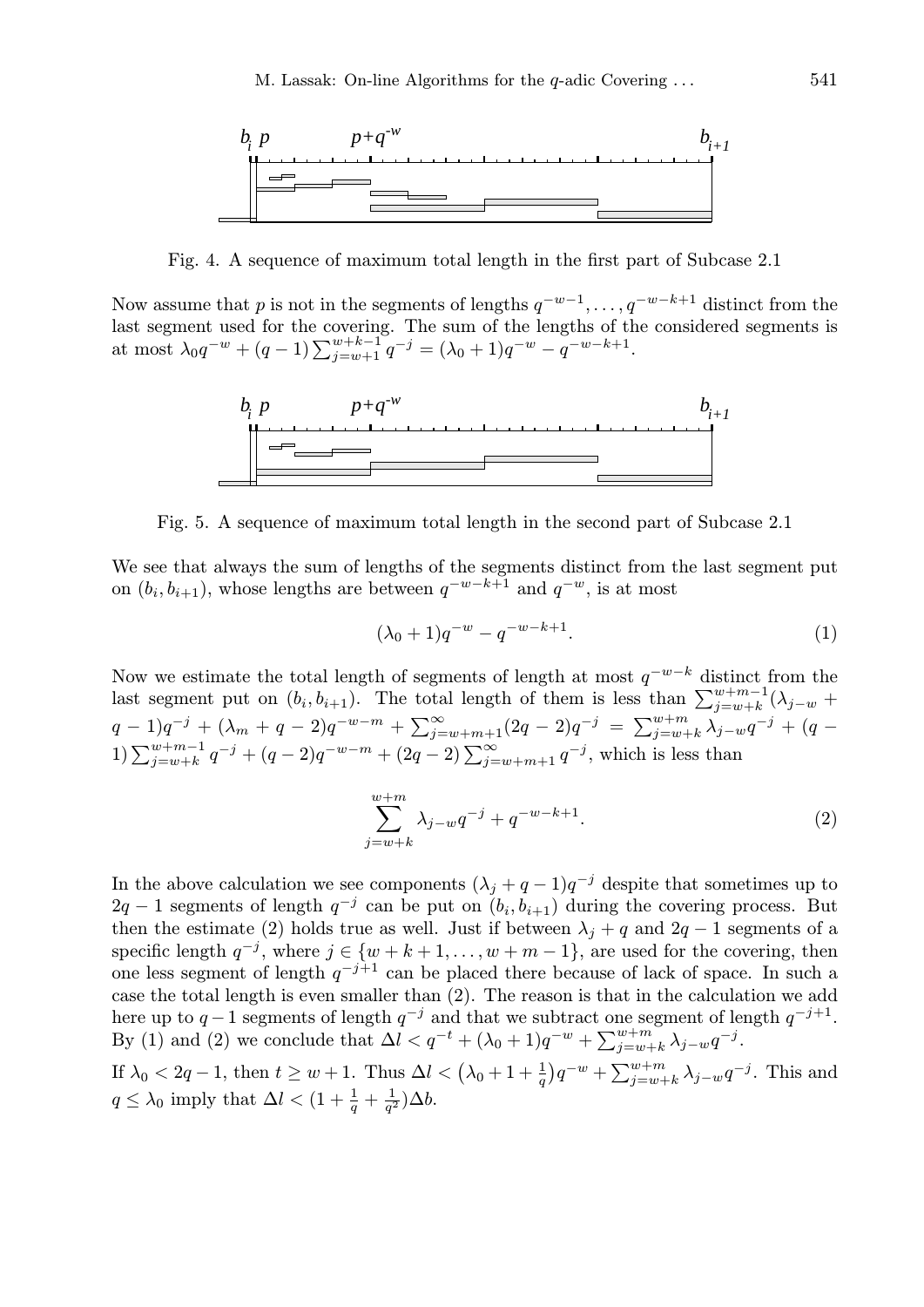

Fig. 4. A sequence of maximum total length in the first part of Subcase 2.1

Now assume that p is not in the segments of lengths  $q^{-w-1}, \ldots, q^{-w-k+1}$  distinct from the last segment used for the covering. The sum of the lengths of the considered segments is at most  $\lambda_0 q^{-w} + (q-1) \sum_{j=w+1}^{w+k-1} q^{-j} = (\lambda_0 + 1)q^{-w} - q^{-w-k+1}$ .



Fig. 5. A sequence of maximum total length in the second part of Subcase 2.1

We see that always the sum of lengths of the segments distinct from the last segment put on  $(b_i, b_{i+1})$ , whose lengths are between  $q^{-w-k+1}$  and  $q^{-w}$ , is at most

$$
(\lambda_0 + 1)q^{-w} - q^{-w-k+1}.\tag{1}
$$

Now we estimate the total length of segments of length at most  $q^{-w-k}$  distinct from the last segment put on  $(b_i, b_{i+1})$ . The total length of them is less than  $\sum_{j=w+k}^{w+m-1} (\lambda_{j-w} +$  $q-1)q^{-j} + (\lambda_m + q - 2)q^{-w-m} + \sum_{j=1}^{\infty}$  $\sum_{j=w+m+1}^{\infty} (2q-2)q^{-j} = \sum_{j=w+1}^{w+m}$  $^{{w}+m}_{j={w}+k}\,\lambda_{j-{w}}q^{-j} \,+\, (q \, \sum_{j=w+k}^{q} q^{-j} + (q-2)q^{-w-m} + (2q-2)\sum_{j=w+m+1}^{\infty} q^{-j}$ , which is less than

$$
\sum_{j=w+k}^{w+m} \lambda_{j-w} q^{-j} + q^{-w-k+1}.
$$
 (2)

In the above calculation we see components  $(\lambda_j + q - 1)q^{-j}$  despite that sometimes up to  $2q-1$  segments of length  $q^{-j}$  can be put on  $(b_i, b_{i+1})$  during the covering process. But then the estimate (2) holds true as well. Just if between  $\lambda_i + q$  and  $2q - 1$  segments of a specific length  $q^{-j}$ , where  $j \in \{w + k + 1, \ldots, w + m - 1\}$ , are used for the covering, then one less segment of length  $q^{-j+1}$  can be placed there because of lack of space. In such a case the total length is even smaller than (2). The reason is that in the calculation we add here up to  $q-1$  segments of length  $q^{-j}$  and that we subtract one segment of length  $q^{-j+1}$ . By (1) and (2) we conclude that  $\Delta l < q^{-t} + (\lambda_0 + 1)q^{-w} + \sum_{i=w}^{w+m}$  $_{j=w+k}^{w+m}$   $\lambda_{j-w}q^{-j}$ .

If  $\lambda_0 < 2q - 1$ , then  $t \geq w + 1$ . Thus  $\Delta l < (\lambda_0 + 1 + \frac{1}{q})$  $\overline{a}$  $q^{-w} + \sum_{i=w+1}^{w+m} q^{i}$  $_{j=w+k}^{w+m} \lambda_{j-w} q^{-j}$ . This and  $q \leq \lambda_0$  imply that  $\Delta l < (1 + \frac{1}{q} + \frac{1}{q^2})$  $\frac{1}{q^2})\Delta b.$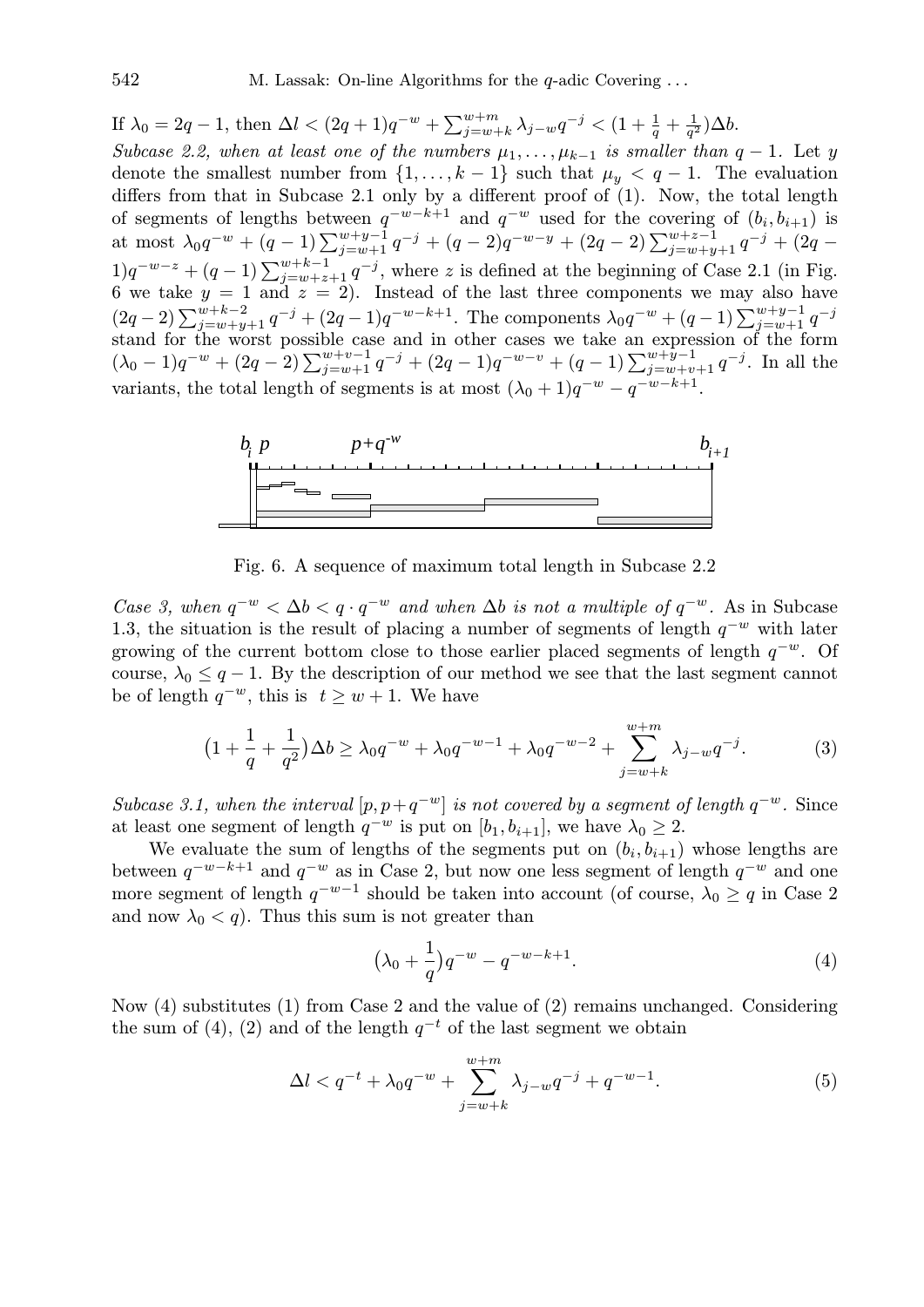If  $\lambda_0 = 2q - 1$ , then  $\Delta l < (2q + 1)q^{-w} + \sum_{i=w}^{w+m}$  $_{j=w+k}^{w+m}\lambda_{j-w}q^{-j}< (1+\frac{1}{q}+\frac{1}{q^2})$  $\frac{1}{q^2})\Delta b.$ *Subcase 2.2, when at least one of the numbers*  $\mu_1, \ldots, \mu_{k-1}$  *is smaller than*  $q - 1$ *.* Let y denote the smallest number from  $\{1, \ldots, k-1\}$  such that  $\mu_y < q-1$ . The evaluation differs from that in Subcase 2.1 only by a different proof of (1). Now, the total length of segments of lengths between  $q^{-w-k+1}$  and  $q^{-w}$  used for the covering of  $(b_i, b_{i+1})$  is or segments or lengths between q and q used for the covering or  $(v_i, v_{i+1})$  is<br>at most  $\lambda_0 q^{-w} + (q-1) \sum_{j=w+1}^{w+y-1} q^{-j} + (q-2)q^{-w-y} + (2q-2) \sum_{j=w+y+1}^{w+z-1} q^{-j} + (2q-2) q^{-j}$  $1)q^{-w-z} + (q-1)\sum_{j=w+z+1}^{w+k-1} q^{-j}$ , where z is defined at the beginning of Case 2.1 (in Fig. 6 we take  $y = 1$  and  $z = 2$ ). Instead of the last three components we may also have  $(2q-2)\sum_{j=w+y+1}^{w+k-2} q^{-j} + (2q-1)q^{-w-k+1}$ . The components  $\lambda_0 q^{-w} + (q-1)\sum_{j=w+1}^{w+y-1} q^{-j}$ stand for the worst possible case and in other cases we take an expression of the form stand for the worst possible case and in other cases we take an expression of the form<br>  $(\lambda_0 - 1)q^{-w} + (2q - 2)\sum_{j=w+1}^{w+v-1}q^{-j} + (2q - 1)q^{-w-v} + (q - 1)\sum_{j=w+v+1}^{w+y-1}q^{-j}$ . In all the variants, the total length of segments is at most  $(\lambda_0 + 1)q^{-w} - q^{-w-k+1}$ .



Fig. 6. A sequence of maximum total length in Subcase 2.2

*Case 3, when*  $q^{-w} < \Delta b < q \cdot q^{-w}$  *and when*  $\Delta b$  *is not a multiple of*  $q^{-w}$ . As in Subcase 1.3, the situation is the result of placing a number of segments of length  $q^{-w}$  with later growing of the current bottom close to those earlier placed segments of length  $q^{-w}$ . Of course,  $\lambda_0 \leq q-1$ . By the description of our method we see that the last segment cannot be of length  $q^{-w}$ , this is  $t \geq w+1$ . We have

$$
(1 + \frac{1}{q} + \frac{1}{q^2})\Delta b \ge \lambda_0 q^{-w} + \lambda_0 q^{-w-1} + \lambda_0 q^{-w-2} + \sum_{j=w+k}^{w+m} \lambda_{j-w} q^{-j}.
$$
 (3)

*Subcase 3.1, when the interval* [ $p, p + q^{-w}$ ] *is not covered by a segment of length*  $q^{-w}$ . Since at least one segment of length  $q^{-w}$  is put on  $[b_1, b_{i+1}]$ , we have  $\lambda_0 \geq 2$ .

We evaluate the sum of lengths of the segments put on  $(b_i, b_{i+1})$  whose lengths are between  $q^{-w-k+1}$  and  $q^{-w}$  as in Case 2, but now one less segment of length  $q^{-w}$  and one more segment of length  $q^{-w-1}$  should be taken into account (of course,  $\lambda_0 \geq q$  in Case 2 and now  $\lambda_0 < q$ ). Thus this sum is not greater than

$$
(\lambda_0 + \frac{1}{q})q^{-w} - q^{-w-k+1}.
$$
\n(4)

Now (4) substitutes (1) from Case 2 and the value of (2) remains unchanged. Considering the sum of (4), (2) and of the length  $q^{-t}$  of the last segment we obtain

$$
\Delta l < q^{-t} + \lambda_0 q^{-w} + \sum_{j=w+k}^{w+m} \lambda_{j-w} q^{-j} + q^{-w-1}.\tag{5}
$$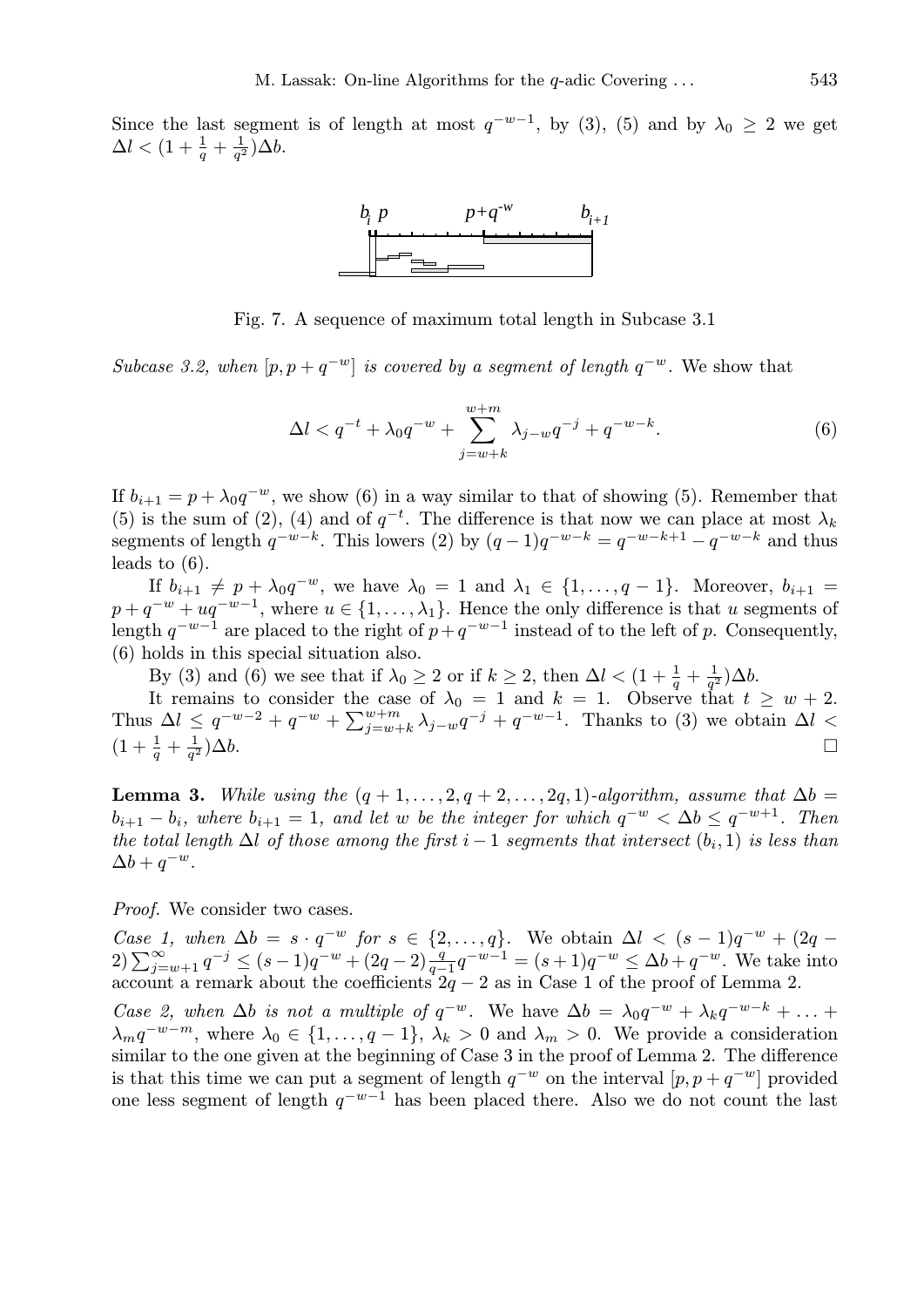Since the last segment is of length at most  $q^{-w-1}$ , by (3), (5) and by  $\lambda_0 \geq 2$  we get  $\Delta l < (1+\frac{1}{q}+\frac{1}{q^2}$  $\frac{1}{q^2})\Delta b.$ 



Fig. 7. A sequence of maximum total length in Subcase 3.1

*Subcase 3.2, when*  $[p, p + q^{-w}]$  *is covered by a segment of length*  $q^{-w}$ . We show that

$$
\Delta l < q^{-t} + \lambda_0 q^{-w} + \sum_{j=w+k}^{w+m} \lambda_{j-w} q^{-j} + q^{-w-k}.\tag{6}
$$

If  $b_{i+1} = p + \lambda_0 q^{-w}$ , we show (6) in a way similar to that of showing (5). Remember that (5) is the sum of (2), (4) and of  $q^{-t}$ . The difference is that now we can place at most  $\lambda_k$ segments of length  $q^{-w-k}$ . This lowers (2) by  $(q-1)q^{-w-k} = q^{-w-k+1} - q^{-w-k}$  and thus leads to (6).

If  $b_{i+1} \neq p + \lambda_0 q^{-w}$ , we have  $\lambda_0 = 1$  and  $\lambda_1 \in \{1, ..., q-1\}$ . Moreover,  $b_{i+1} =$  $p + q^{-w} + uq^{-w-1}$ , where  $u \in \{1, \ldots, \lambda_1\}$ . Hence the only difference is that u segments of length  $q^{-w-1}$  are placed to the right of  $p+q^{-w-1}$  instead of to the left of p. Consequently, (6) holds in this special situation also.

By (3) and (6) we see that if  $\lambda_0 \geq 2$  or if  $k \geq 2$ , then  $\Delta l < (1 + \frac{1}{q} + \frac{1}{q^2})$  $\frac{1}{q^2})\Delta b.$ 

It remains to consider the case of  $\lambda_0 = 1$  and  $k = 1$ . Observe that  $t \geq w + 2$ . Thus  $\Delta l \leq q^{-w-2} + q^{-w} + \sum_{i=m}^{w+m}$  $y_{j=w+k}^{w+m}$   $\lambda_{j-w}q^{-j} + q^{-w-1}$ . Thanks to (3) we obtain  $\Delta l$  <  $(1+\frac{1}{q}+\frac{1}{q^2})$ q  $\frac{1}{2}$ ) $\Delta b$ .

**Lemma 3.** *While using the*  $(q + 1, \ldots, 2, q + 2, \ldots, 2q, 1)$ *-algorithm, assume that*  $\Delta b =$  $b_{i+1} - b_i$ , where  $b_{i+1} = 1$ , and let w be the integer for which  $q^{-w} < \Delta b \leq q^{-w+1}$ . Then *the total length*  $\Delta l$  *of those among the first*  $i - 1$  *segments that intersect*  $(b_i, 1)$  *is less than*  $\Delta b + q^{-w}.$ 

*Proof.* We consider two cases.

*Case 1, when*  $\Delta b = s \cdot q^{-w}$  *for*  $s \in \{2, ..., q\}$ . We obtain  $\Delta l < (s - 1)q^{-w} + (2q - 2) \sum_{j=w+1}^{\infty} q^{-j} \le (s - 1)q^{-w} + (2q - 2) \frac{q}{q-1} q^{-w-1} = (s + 1)q^{-w} \le \Delta b + q^{-w}$ . We take into account a remark about the coefficients  $2q - 2$  as in Case 1 of the proof of Lemma 2.

*Case 2, when*  $\Delta b$  *is not a multiple of*  $q^{-w}$ . We have  $\Delta b = \lambda_0 q^{-w} + \lambda_k q^{-w-k} + \ldots$  $\lambda_m q^{-w-m}$ , where  $\lambda_0 \in \{1, \ldots, q-1\}$ ,  $\lambda_k > 0$  and  $\lambda_m > 0$ . We provide a consideration similar to the one given at the beginning of Case 3 in the proof of Lemma 2. The difference is that this time we can put a segment of length  $q^{-w}$  on the interval  $[p, p + q^{-w}]$  provided one less segment of length  $q^{-w-1}$  has been placed there. Also we do not count the last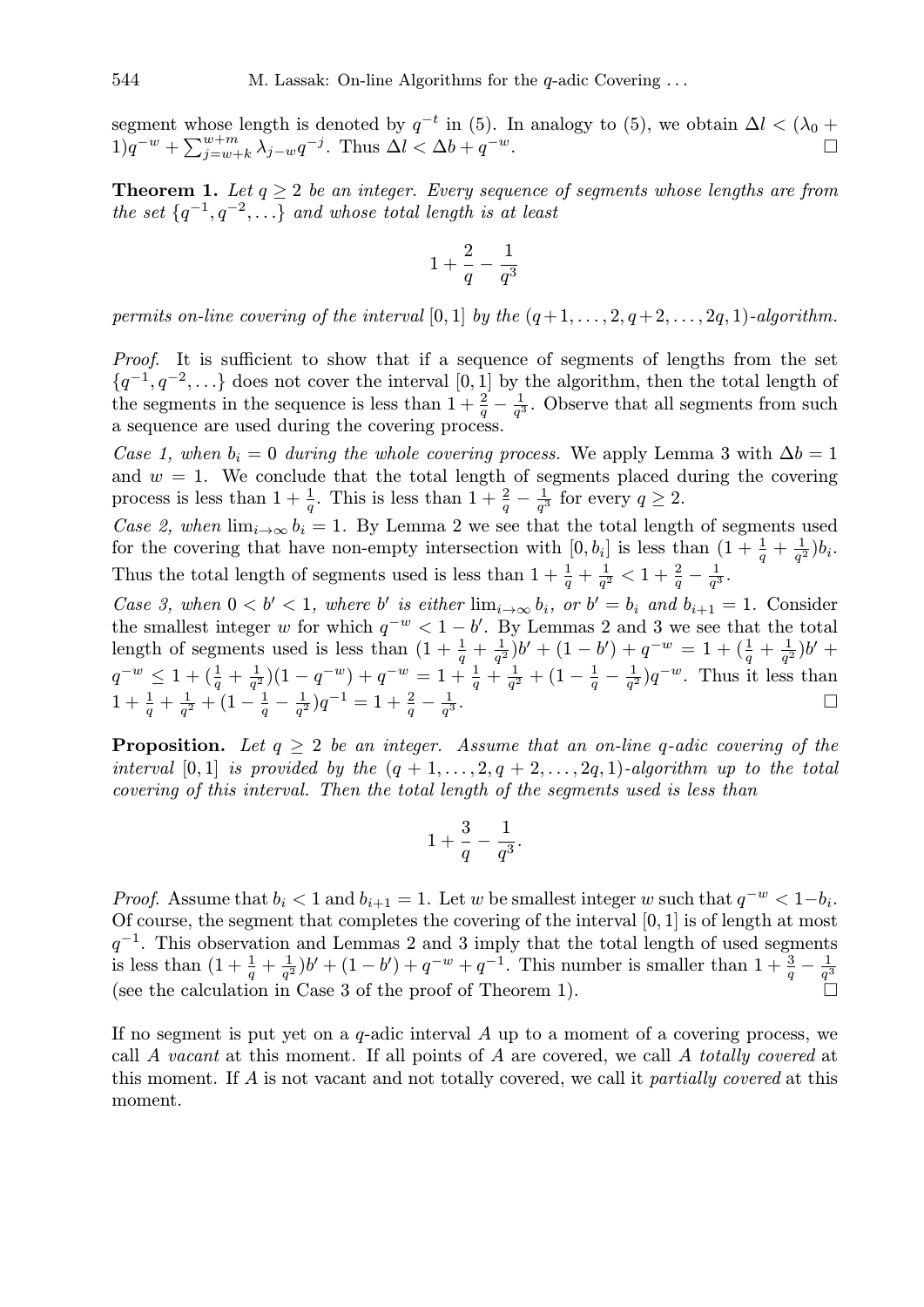segment whose length is denoted by  $q^{-t}$  in (5). In analogy to (5), we obtain  $\Delta l < (\lambda_0 +$ segment whose<br> $1)q^{-w} + \sum_{i=w+1}^{w+m}$  $\sum_{j=w+k}^{w+m} \lambda_{j-w} q^{-j}$ . Thus  $\Delta l < \Delta b + q$  $-w$ .

**Theorem 1.** Let  $q \geq 2$  be an integer. Every sequence of segments whose lengths are from *the set*  $\{q^{-1}, q^{-2}, \ldots\}$  *and whose total length is at least* 

$$
1+\frac{2}{q}-\frac{1}{q^3}
$$

*permits on-line covering of the interval* [0, 1] *by the*  $(q+1, \ldots, 2, q+2, \ldots, 2q, 1)$ *-algorithm.* 

*Proof.* It is sufficient to show that if a sequence of segments of lengths from the set  $\{q^{-1}, q^{-2}, \ldots\}$  does not cover the interval [0, 1] by the algorithm, then the total length of the segments in the sequence is less than  $1 + \frac{2}{q} - \frac{1}{q^3}$  $\frac{1}{q^3}$ . Observe that all segments from such a sequence are used during the covering process.

*Case 1, when*  $b_i = 0$  *during the whole covering process.* We apply Lemma 3 with  $\Delta b = 1$ and  $w = 1$ . We conclude that the total length of segments placed during the covering process is less than  $1 + \frac{1}{q}$ . This is less than  $1 + \frac{2}{q} - \frac{1}{q^2}$  $\frac{1}{q^3}$  for every  $q \geq 2$ .

*Case 2, when*  $\lim_{i\to\infty} b_i = 1$ . By Lemma 2 we see that the total length of segments used for the covering that have non-empty intersection with  $[0, b_i]$  is less than  $(1 + \frac{1}{q} + \frac{1}{q})$  $\frac{1}{q^2})b_i.$ Thus the total length of segments used is less than  $1 + \frac{1}{q} + \frac{1}{q'}$  $\frac{1}{q^2} < 1 + \frac{2}{q} - \frac{1}{q^3}$  $\frac{1}{q^3}$ .

*Case 3, when*  $0 < b' < 1$ *, where* b' *is either*  $\lim_{i \to \infty} b_i$ *, or*  $b' = b_i$  *and*  $b_{i+1} = 1$ *.* Consider the smallest integer w for which  $q^{-w} < 1 - b'$ . By Lemmas 2 and 3 we see that the total length of segments used is less than  $(1 + \frac{1}{q} + \frac{1}{q})$  $\frac{1}{q^2}$ )b' +  $(1-b') + q^{-w} = 1 + (\frac{1}{q} + \frac{1}{q})$  $(\frac{1}{q^2})b' +$  $q^{-w} \leq 1 + (\frac{1}{q} + \frac{1}{q^2})$  $\frac{1}{q^2}$ ) $(1-q^{-w})+q^{-w}=1+\frac{1}{q}+\frac{1}{q^2}$  $\frac{1}{q^2} + (1 - \frac{1}{q})$  $rac{1}{q} - \frac{1}{q^2}$  $\frac{1}{q^2}$ ) $q^{-w}$ . Thus it less than  $1 + \frac{1}{q} + \frac{1}{q^2}$  $\frac{1}{q^2} + (1 - \frac{1}{q})$  $rac{1}{q} - \frac{1}{q^2}$  $\frac{1}{q^2}$ ) $q^{-1} = 1 + \frac{2}{q} - \frac{1}{q^3}$ q  $\frac{1}{3}$ .

**Proposition.** Let  $q \geq 2$  be an integer. Assume that an on-line q-adic covering of the *interval* [0, 1] *is provided by the*  $(q + 1, \ldots, 2, q + 2, \ldots, 2q, 1)$ *-algorithm up to the total covering of this interval. Then the total length of the segments used is less than*

$$
1+\frac{3}{q}-\frac{1}{q^3}.
$$

*Proof.* Assume that  $b_i < 1$  and  $b_{i+1} = 1$ . Let w be smallest integer w such that  $q^{-w} < 1-b_i$ . Of course, the segment that completes the covering of the interval  $[0, 1]$  is of length at most  $q^{-1}$ . This observation and Lemmas 2 and 3 imply that the total length of used segments is less than  $(1 + \frac{1}{q} + \frac{1}{q^2})$  $\frac{1}{q^2}$ )b' + (1 – b') +  $q^{-w}$  +  $q^{-1}$ . This number is smaller than  $1 + \frac{3}{q} - \frac{1}{q^2}$  $q^3$ (see the calculation in Case 3 of the proof of Theorem 1).

If no segment is put yet on a  $q$ -adic interval A up to a moment of a covering process, we call A *vacant* at this moment. If all points of A are covered, we call A *totally covered* at this moment. If A is not vacant and not totally covered, we call it *partially covered* at this moment.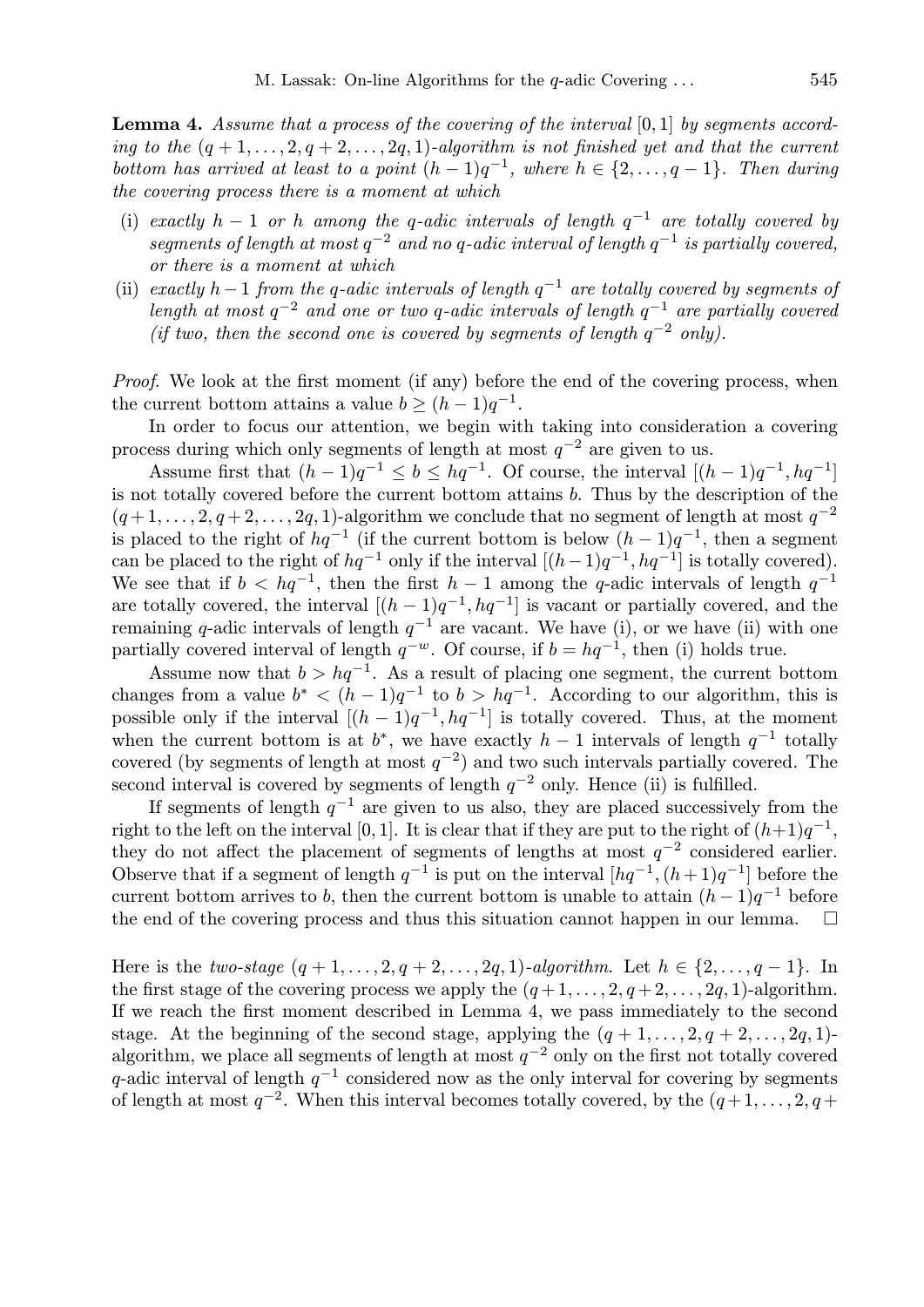Lemma 4. Assume that a process of the covering of the interval [0, 1] by segments accord*ing to the*  $(q + 1, \ldots, 2, q + 2, \ldots, 2q, 1)$ *-algorithm is not finished yet and that the current bottom has arrived at least to a point*  $(h-1)q^{-1}$ , where  $h \in \{2,\ldots,q-1\}$ . Then during *the covering process there is a moment at which*

- (i) *exactly*  $h 1$  *or*  $h$  *among the*  $q$ -*adic intervals of length*  $q^{-1}$  *are totally covered by*  $segments$  of length at most  $q^{-2}$  and no  $q$ -adic interval of length  $q^{-1}$  is partially covered, *or there is a moment at which*
- (ii) *exactly*  $h-1$  *from the q-adic intervals of length*  $q^{-1}$  *are totally covered by segments of length at most* q −2 *and one or two* q*-adic intervals of length* q −1 *are partially covered (if two, then the second one is covered by segments of length*  $q^{-2}$  *only).*

*Proof.* We look at the first moment (if any) before the end of the covering process, when the current bottom attains a value  $b \geq (h-1)q^{-1}$ .

In order to focus our attention, we begin with taking into consideration a covering process during which only segments of length at most  $q^{-2}$  are given to us.

Assume first that  $(h-1)q^{-1} \le b \le hq^{-1}$ . Of course, the interval  $[(h-1)q^{-1}, hq^{-1}]$ is not totally covered before the current bottom attains b. Thus by the description of the  $(q+1,\ldots,2,q+2,\ldots,2q,1)$ -algorithm we conclude that no segment of length at most  $q^{-2}$ is placed to the right of  $hq^{-1}$  (if the current bottom is below  $(h-1)q^{-1}$ , then a segment can be placed to the right of  $hq^{-1}$  only if the interval  $[(h-1)q^{-1}, hq^{-1}]$  is totally covered). We see that if  $b < hq^{-1}$ , then the first  $h-1$  among the q-adic intervals of length  $q^{-1}$ are totally covered, the interval  $[(h-1)q^{-1},hq^{-1}]$  is vacant or partially covered, and the remaining q-adic intervals of length  $q^{-1}$  are vacant. We have (i), or we have (ii) with one partially covered interval of length  $q^{-w}$ . Of course, if  $b = hq^{-1}$ , then (i) holds true.

Assume now that  $b > hq^{-1}$ . As a result of placing one segment, the current bottom changes from a value  $b^* < (h-1)q^{-1}$  to  $b > hq^{-1}$ . According to our algorithm, this is possible only if the interval  $[(h-1)q^{-1}, hq^{-1}]$  is totally covered. Thus, at the moment when the current bottom is at  $b^*$ , we have exactly  $h-1$  intervals of length  $q^{-1}$  totally covered (by segments of length at most  $q^{-2}$ ) and two such intervals partially covered. The second interval is covered by segments of length  $q^{-2}$  only. Hence (ii) is fulfilled.

If segments of length  $q^{-1}$  are given to us also, they are placed successively from the right to the left on the interval [0, 1]. It is clear that if they are put to the right of  $(h+1)q^{-1}$ , they do not affect the placement of segments of lengths at most  $q^{-2}$  considered earlier. Observe that if a segment of length  $q^{-1}$  is put on the interval  $[hq^{-1}, (h+1)q^{-1}]$  before the current bottom arrives to b, then the current bottom is unable to attain  $(h-1)q^{-1}$  before the end of the covering process and thus this situation cannot happen in our lemma.

Here is the *two-stage*  $(q + 1, ..., 2, q + 2, ..., 2q, 1)$ *-algorithm.* Let  $h \in \{2, ..., q - 1\}$ . In the first stage of the covering process we apply the  $(q+1,\ldots,2,q+2,\ldots,2q,1)$ -algorithm. If we reach the first moment described in Lemma 4, we pass immediately to the second stage. At the beginning of the second stage, applying the  $(q + 1, \ldots, 2, q + 2, \ldots, 2q, 1)$ algorithm, we place all segments of length at most  $q^{-2}$  only on the first not totally covered q-adic interval of length  $q^{-1}$  considered now as the only interval for covering by segments of length at most  $q^{-2}$ . When this interval becomes totally covered, by the  $(q+1,\ldots,2,q+1)$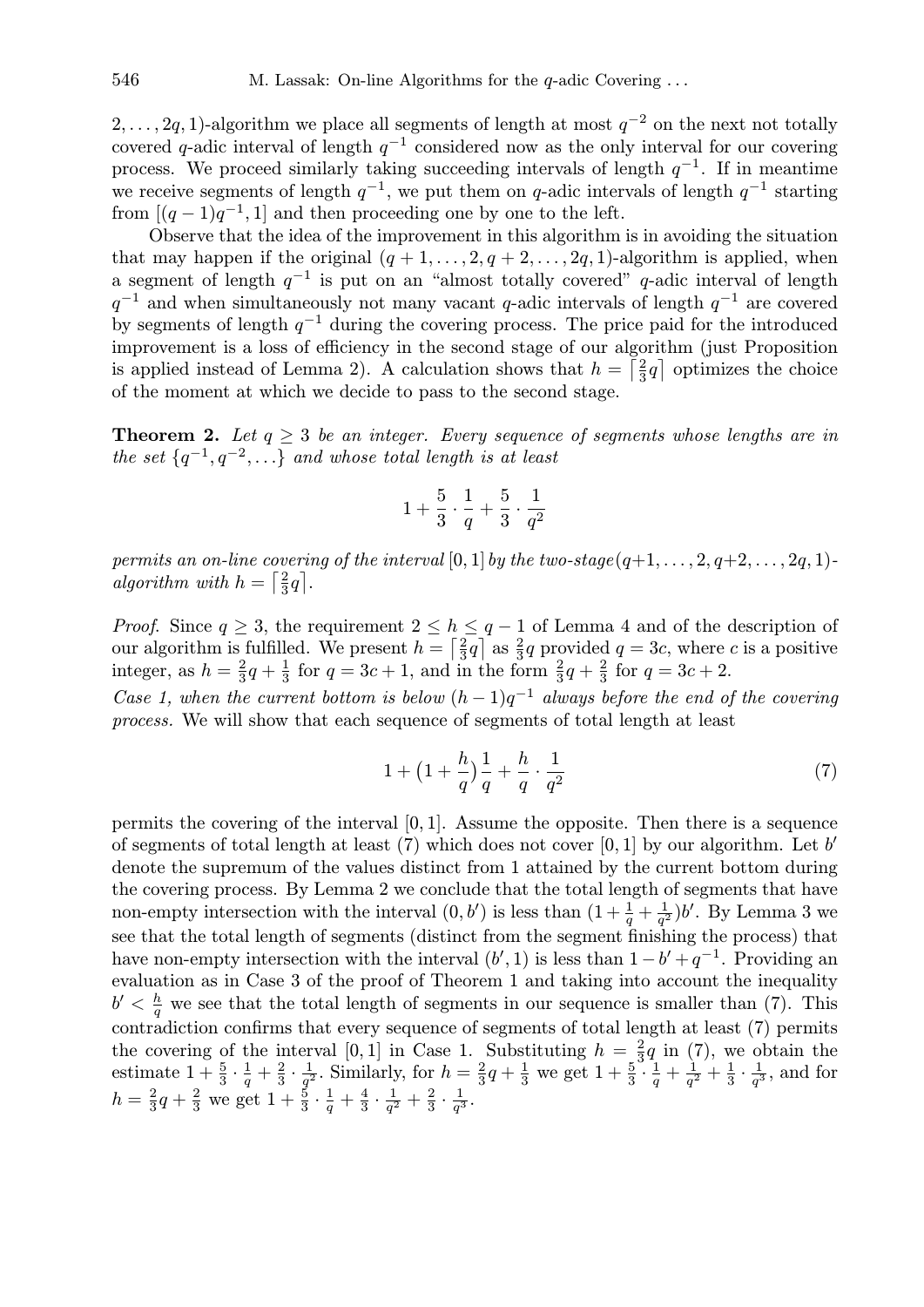2, . . . , 2q, 1)-algorithm we place all segments of length at most  $q^{-2}$  on the next not totally covered q-adic interval of length  $q^{-1}$  considered now as the only interval for our covering process. We proceed similarly taking succeeding intervals of length  $q^{-1}$ . If in meantime we receive segments of length  $q^{-1}$ , we put them on q-adic intervals of length  $q^{-1}$  starting from  $[(q-1)q^{-1}, 1]$  and then proceeding one by one to the left.

Observe that the idea of the improvement in this algorithm is in avoiding the situation that may happen if the original  $(q + 1, \ldots, 2, q + 2, \ldots, 2q, 1)$ -algorithm is applied, when a segment of length  $q^{-1}$  is put on an "almost totally covered" q-adic interval of length  $q^{-1}$  and when simultaneously not many vacant q-adic intervals of length  $q^{-1}$  are covered by segments of length  $q^{-1}$  during the covering process. The price paid for the introduced improvement is a loss of efficiency in the second stage of our algorithm (just Proposition is applied instead of Lemma 2). A calculation shows that  $h = \left[\frac{2}{3}\right]$  $\frac{2}{3}q$  optimizes the choice of the moment at which we decide to pass to the second stage.

**Theorem 2.** Let  $q > 3$  be an integer. Every sequence of segments whose lengths are in *the set*  $\{q^{-1}, q^{-2}, \ldots\}$  *and whose total length is at least* 

$$
1 + \frac{5}{3} \cdot \frac{1}{q} + \frac{5}{3} \cdot \frac{1}{q^2}
$$

*permits an on-line covering of the interval*  $[0, 1]$  *by the two-stage* $(q+1, \ldots, 2, q+2, \ldots, 2q, 1)$ *algorithm with*  $h = \left[\frac{2}{3}\right]$  $rac{2}{3}q$ .

*Proof.* Since  $q \geq 3$ , the requirement  $2 \leq h \leq q-1$  of Lemma 4 and of the description of our algorithm is fulfilled. We present  $h = \lceil \frac{2}{3} \rceil$  $\frac{2}{3}q$  as  $\frac{2}{3}q$  provided  $q = 3c$ , where c is a positive integer, as  $h=\frac{2}{3}$  $rac{2}{3}q + \frac{1}{3}$  $\frac{1}{3}$  for  $q = 3c + 1$ , and in the form  $\frac{2}{3}q + \frac{2}{3}$  $rac{2}{3}$  for  $q = 3c + 2$ .

*Case 1, when the current bottom is below*  $(h-1)q^{-1}$  *always before the end of the covering process.* We will show that each sequence of segments of total length at least

$$
1 + \left(1 + \frac{h}{q}\right)\frac{1}{q} + \frac{h}{q} \cdot \frac{1}{q^2} \tag{7}
$$

permits the covering of the interval  $[0, 1]$ . Assume the opposite. Then there is a sequence of segments of total length at least  $(7)$  which does not cover  $[0,1]$  by our algorithm. Let b' denote the supremum of the values distinct from 1 attained by the current bottom during the covering process. By Lemma 2 we conclude that the total length of segments that have non-empty intersection with the interval  $(0, b')$  is less than  $(1 + \frac{1}{q} + \frac{1}{q^2})$  $\frac{1}{q^2}$ )b'. By Lemma 3 we see that the total length of segments (distinct from the segment finishing the process) that have non-empty intersection with the interval  $(b', 1)$  is less than  $1 - b' + q^{-1}$ . Providing an evaluation as in Case 3 of the proof of Theorem 1 and taking into account the inequality  $b' < \frac{h}{a}$  $\frac{h}{q}$  we see that the total length of segments in our sequence is smaller than (7). This contradiction confirms that every sequence of segments of total length at least (7) permits the covering of the interval [0, 1] in Case 1. Substituting  $h = \frac{2}{3}$  $rac{2}{3}q$  in (7), we obtain the estimate  $1+\frac{5}{3}\cdot\frac{1}{q}$  $rac{1}{q} + \frac{2}{3}$  $rac{2}{3} \cdot \frac{1}{q^2}$  $\frac{1}{q^2}$ . Similarly, for  $h=\frac{2}{3}$  $rac{2}{3}q + \frac{1}{3}$  $\frac{1}{3}$  we get  $1 + \frac{5}{3} \cdot \frac{1}{q}$  $rac{1}{q} + \frac{1}{q^2}$  $\frac{1}{q^2} + \frac{1}{3}$  $rac{1}{3} \cdot \frac{1}{q}$  $\frac{1}{q^3}$ , and for  $h=\frac{2}{3}$  $rac{2}{3}q + \frac{2}{3}$  $rac{2}{3}$  we get  $1 + \frac{5}{3} \cdot \frac{1}{q}$  $\frac{1}{q} + \frac{4}{3}$  $rac{4}{3} \cdot \frac{1}{q^2}$  $\frac{1}{q^2} + \frac{2}{3}$  $\frac{2}{3} \cdot \frac{1}{q^3}$  $\frac{1}{q^3}$ .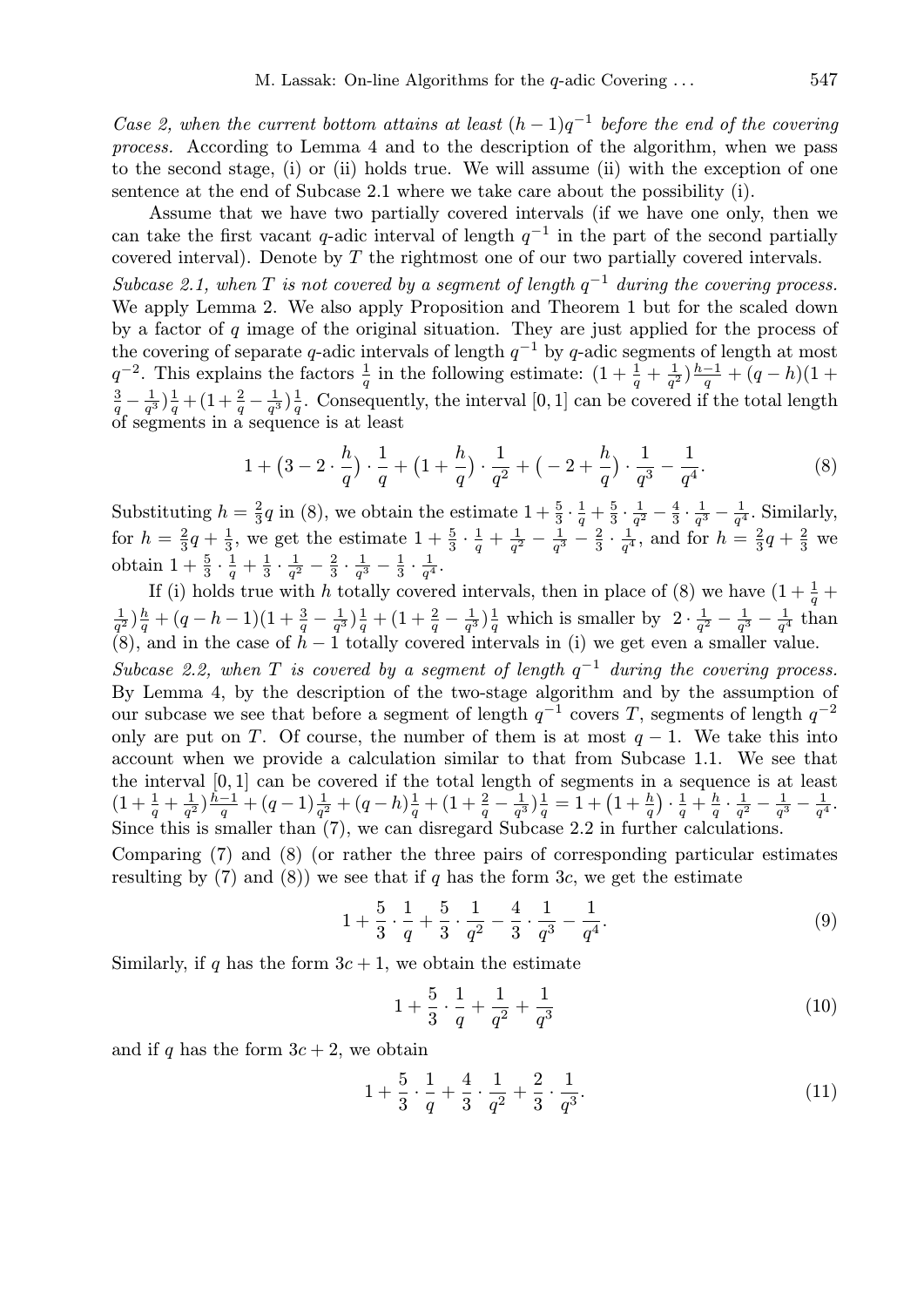*Case 2, when the current bottom attains at least*  $(h-1)q^{-1}$  before the end of the covering *process.* According to Lemma 4 and to the description of the algorithm, when we pass to the second stage, (i) or (ii) holds true. We will assume (ii) with the exception of one sentence at the end of Subcase 2.1 where we take care about the possibility (i).

Assume that we have two partially covered intervals (if we have one only, then we can take the first vacant q-adic interval of length  $q^{-1}$  in the part of the second partially covered interval). Denote by T the rightmost one of our two partially covered intervals.

Subcase 2.1, when  $T$  is not covered by a segment of length  $q^{-1}$  during the covering process. We apply Lemma 2. We also apply Proposition and Theorem 1 but for the scaled down by a factor of  $q$  image of the original situation. They are just applied for the process of the covering of separate q-adic intervals of length  $q^{-1}$  by q-adic segments of length at most  $q^{-2}$ . This explains the factors  $\frac{1}{q}$  in the following estimate:  $(1 + \frac{1}{q} + \frac{1}{q^2})$  $\frac{1}{q^2}$ ) $\frac{h-1}{q}$  $\frac{-1}{q} + (q-h)(1 +$ 3  $rac{3}{q}-\frac{1}{q^3}$  $\frac{1}{q^3}$ ) $\frac{1}{q}$  $\frac{1}{q} + (1 + \frac{2}{q} - \frac{1}{q^3})$  $\frac{1}{q^3}$ ) $\frac{1}{q}$  $\frac{1}{q}$ . Consequently, the interval [0, 1] can be covered if the total length of segments in a sequence is at least

$$
1 + \left(3 - 2 \cdot \frac{h}{q}\right) \cdot \frac{1}{q} + \left(1 + \frac{h}{q}\right) \cdot \frac{1}{q^2} + \left(-2 + \frac{h}{q}\right) \cdot \frac{1}{q^3} - \frac{1}{q^4}.\tag{8}
$$

Substituting  $h=\frac{2}{3}$  $\frac{2}{3}q$  in (8), we obtain the estimate  $1+\frac{5}{3}\cdot\frac{1}{q}$  $rac{1}{q} + \frac{5}{3}$  $rac{5}{3} \cdot \frac{1}{q^2}$  $\frac{1}{q^2} - \frac{4}{3}$  $rac{4}{3} \cdot \frac{1}{q^3}$  $\frac{1}{q^3} - \frac{1}{q^4}$  $\frac{1}{q^4}$ . Similarly, for  $h=\frac{2}{3}$  $rac{2}{3}q + \frac{1}{3}$  $\frac{1}{3}$ , we get the estimate  $1+\frac{5}{3}\cdot\frac{1}{q}$  $rac{1}{q} + \frac{1}{q^2}$  $rac{1}{q^2} - \frac{1}{q^3}$  $\frac{1}{q^3} - \frac{2}{3}$  $rac{2}{3} \cdot \frac{1}{q^4}$  $\frac{1}{q^4}$ , and for  $h = \frac{2}{3}$  $rac{2}{3}q + \frac{2}{3}$  $rac{2}{3}$  we obtain  $1+\frac{5}{3}\cdot\frac{1}{q}$  $\frac{1}{q} + \frac{1}{3}$  $\frac{1}{3} \cdot \frac{1}{q^2}$  $\frac{1}{q^2} - \frac{2}{3}$  $\frac{2}{3} \cdot \frac{1}{q^3}$  $\frac{1}{q^3} - \frac{1}{3}$  $\frac{1}{3} \cdot \frac{1}{q^4}$  $\frac{1}{q^4}$  .

If (i) holds true with h totally covered intervals, then in place of (8) we have  $(1 + \frac{1}{q} +$ 1  $\frac{1}{q^2}$ ) $\frac{h}{q}$  $\frac{h}{q} + (q-h-1)(1+\frac{3}{q} - \frac{1}{q^3})$  $\frac{1}{q^3}$ ) $\frac{1}{q}$  $\frac{1}{q} + (1 + \frac{2}{q} - \frac{1}{q^3})$  $\frac{1}{q^3}$ ) $\frac{1}{q}$  $\frac{1}{q}$  which is smaller by  $2 \cdot \frac{1}{q^2}$  $rac{1}{q^2} - \frac{1}{q^3}$  $\frac{1}{q^3} - \frac{1}{q^4}$  $\frac{1}{q^4}$  than (8), and in the case of  $h-1$  totally covered intervals in (i) we get even a smaller value.

*Subcase 2.2, when*  $T$  *is covered by a segment of length*  $q^{-1}$  *during the covering process.* By Lemma 4, by the description of the two-stage algorithm and by the assumption of our subcase we see that before a segment of length  $q^{-1}$  covers T, segments of length  $q^{-2}$ only are put on T. Of course, the number of them is at most  $q-1$ . We take this into account when we provide a calculation similar to that from Subcase 1.1. We see that the interval [0, 1] can be covered if the total length of segments in a sequence is at least  $(1+\frac{1}{q}+\frac{1}{q^2})$  $\frac{1}{q^2}$ ) $\frac{h-1}{q}$  $\frac{-1}{q} + (q-1)\frac{1}{q^2} + (q-h)\frac{1}{q}$  $\frac{1}{q} + (1 + \frac{2}{q} - \frac{1}{q^3})$  $\frac{1}{q^3}$ ) $\frac{1}{q}$ or segments in<br>  $\frac{1}{q} = 1 + \left(1 + \frac{h}{q}\right)$  $\mathbf{r}$  $\cdot \frac{1}{a}$  $\frac{1}{q}+\frac{h}{q}$  $\frac{h}{q} \cdot \frac{1}{q^2}$  $\frac{1}{q^2} - \frac{1}{q^3}$  $\frac{1}{q^3} - \frac{1}{q^4}$  $\frac{1}{q^4}$ . Since this is smaller than (7), we can disregard Subcase 2.2 in further calculations.

Comparing (7) and (8) (or rather the three pairs of corresponding particular estimates resulting by (7) and (8)) we see that if q has the form 3c, we get the estimate

$$
1 + \frac{5}{3} \cdot \frac{1}{q} + \frac{5}{3} \cdot \frac{1}{q^2} - \frac{4}{3} \cdot \frac{1}{q^3} - \frac{1}{q^4}.
$$
 (9)

Similarly, if q has the form  $3c + 1$ , we obtain the estimate

$$
1 + \frac{5}{3} \cdot \frac{1}{q} + \frac{1}{q^2} + \frac{1}{q^3} \tag{10}
$$

and if q has the form  $3c + 2$ , we obtain

$$
1 + \frac{5}{3} \cdot \frac{1}{q} + \frac{4}{3} \cdot \frac{1}{q^2} + \frac{2}{3} \cdot \frac{1}{q^3}.
$$
 (11)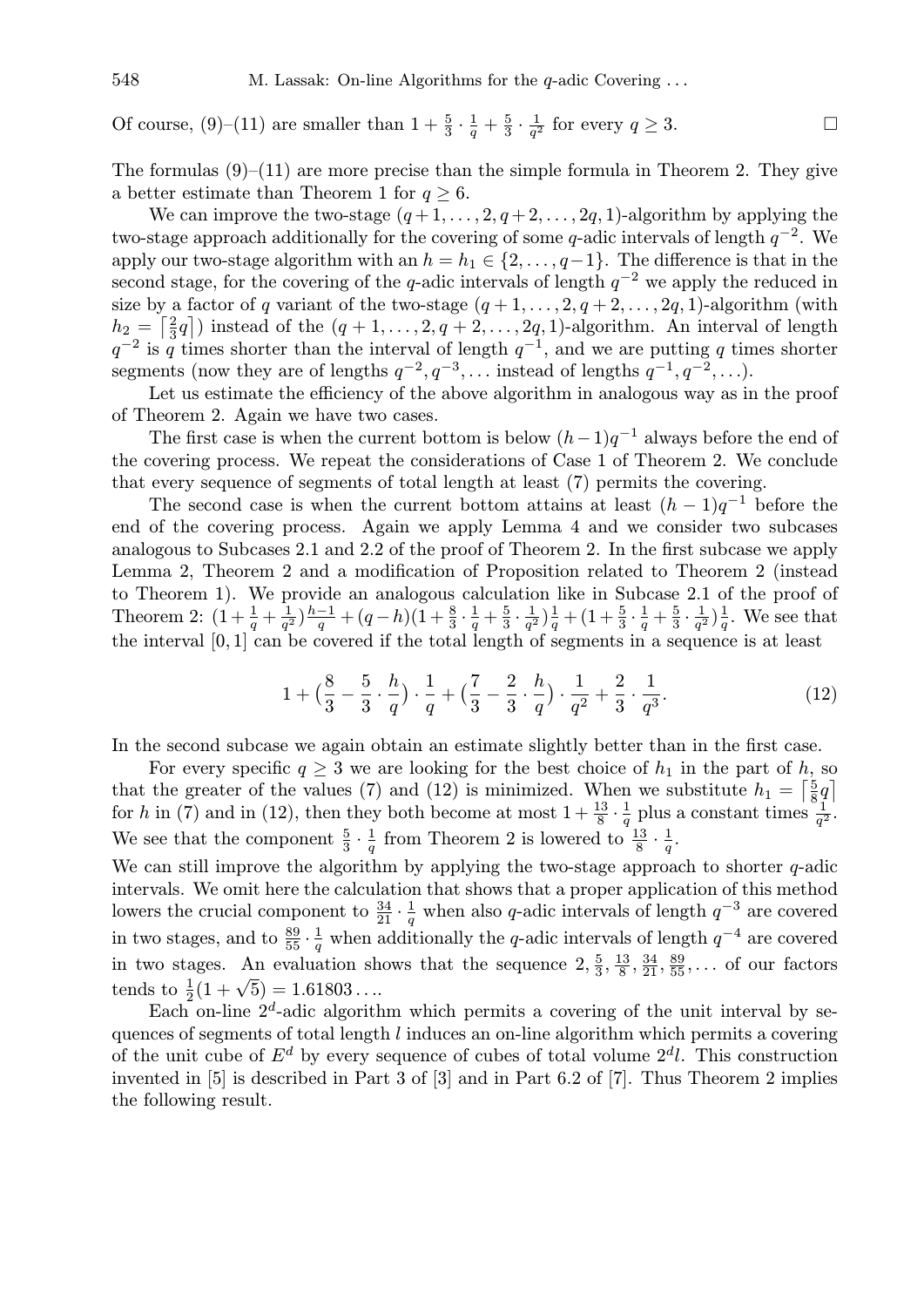Of course, (9)–(11) are smaller than  $1+\frac{5}{3}\cdot\frac{1}{q}$  $\frac{1}{q} + \frac{5}{3}$  $\frac{5}{3} \cdot \frac{1}{q^2}$  $\frac{1}{q^2}$  for every  $q \ge 3$ .

The formulas  $(9)$ – $(11)$  are more precise than the simple formula in Theorem 2. They give a better estimate than Theorem 1 for  $q \geq 6$ .

We can improve the two-stage  $(q+1,\ldots,2,q+2,\ldots,2q,1)$ -algorithm by applying the two-stage approach additionally for the covering of some q-adic intervals of length  $q^{-2}$ . We apply our two-stage algorithm with an  $h = h_1 \in \{2, \ldots, q-1\}$ . The difference is that in the second stage, for the covering of the q-adic intervals of length  $q^{-2}$  we apply the reduced in size by a factor of q variant of the two-stage  $(q + 1, \ldots, 2, q + 2, \ldots, 2q, 1)$ -algorithm (with  $h_2 = \left[\frac{2}{3}q\right]$  instead of the  $(q+1,\ldots,2,q+2,\ldots,2q,1)$ -algorithm. An interval of length  $a_2 = \frac{3q}{3}$  is q times shorter than the interval of length  $q^{-1}$ , and we are putting q times shorter segments (now they are of lengths  $q^{-2}, q^{-3}, \ldots$  instead of lengths  $q^{-1}, q^{-2}, \ldots$ ).

Let us estimate the efficiency of the above algorithm in analogous way as in the proof of Theorem 2. Again we have two cases.

The first case is when the current bottom is below  $(h-1)q^{-1}$  always before the end of the covering process. We repeat the considerations of Case 1 of Theorem 2. We conclude that every sequence of segments of total length at least (7) permits the covering.

The second case is when the current bottom attains at least  $(h-1)q^{-1}$  before the end of the covering process. Again we apply Lemma 4 and we consider two subcases analogous to Subcases 2.1 and 2.2 of the proof of Theorem 2. In the first subcase we apply Lemma 2, Theorem 2 and a modification of Proposition related to Theorem 2 (instead to Theorem 1). We provide an analogous calculation like in Subcase 2.1 of the proof of Theorem 2:  $(1 + \frac{1}{q} + \frac{1}{q^2})$  $\frac{1}{q^2}$ ) $\frac{h-1}{q}$  $\frac{-1}{q} + (q-h)(1+\frac{8}{3}\cdot\frac{1}{q})$  $\frac{1}{q} + \frac{5}{3}$  $rac{5}{3} \cdot \frac{1}{q^2}$  $\frac{1}{q^2}$ ) $\frac{1}{q}$  $\frac{1}{q} + (1 + \frac{5}{3} \cdot \frac{1}{q})$  $\frac{1}{q} + \frac{5}{3}$  $rac{5}{3} \cdot \frac{1}{q^2}$  $\frac{1}{q^2}$ ) $\frac{1}{q}$  $\frac{1}{q}$ . We see that the interval [0, 1] can be covered if the total length of segments in a sequence is at least

$$
1 + \left(\frac{8}{3} - \frac{5}{3} \cdot \frac{h}{q}\right) \cdot \frac{1}{q} + \left(\frac{7}{3} - \frac{2}{3} \cdot \frac{h}{q}\right) \cdot \frac{1}{q^2} + \frac{2}{3} \cdot \frac{1}{q^3}.
$$
 (12)

In the second subcase we again obtain an estimate slightly better than in the first case.

For every specific  $q \geq 3$  we are looking for the best choice of  $h_1$  in the part of h, so that the greater of the values (7) and (12) is minimized. When we substitute  $h_1 = \left[\frac{5}{8}\right]$  $rac{5}{8}q$ for h in (7) and in (12), then they both become at most  $1+\frac{13}{8}\cdot\frac{1}{q}$  $\frac{1}{q}$  plus a constant times  $\frac{1}{q^2}$ . We see that the component  $\frac{5}{3} \cdot \frac{1}{q}$  $\frac{1}{q}$  from Theorem 2 is lowered to  $\frac{13}{8} \cdot \frac{1}{q}$  $\frac{1}{q}$  .

We can still improve the algorithm by applying the two-stage approach to shorter  $q$ -adic intervals. We omit here the calculation that shows that a proper application of this method lowers the crucial component to  $\frac{34}{21} \cdot \frac{1}{q}$  $\frac{1}{q}$  when also q-adic intervals of length  $q^{-3}$  are covered in two stages, and to  $\frac{89}{55} \cdot \frac{1}{q}$  $\frac{1}{q}$  when additionally the q-adic intervals of length  $q^{-4}$  are covered in two stages. An evaluation shows that the sequence  $2, \frac{5}{3}$  $\frac{5}{3}, \frac{13}{8}$  $\frac{13}{8}, \frac{34}{21}, \frac{89}{55}, \ldots$  of our factors tends to  $\frac{1}{2}(1+\sqrt{5}) = 1.61803...$ 

Each on-line  $2^d$ -adic algorithm which permits a covering of the unit interval by sequences of segments of total length l induces an on-line algorithm which permits a covering of the unit cube of  $E^d$  by every sequence of cubes of total volume  $2^d l$ . This construction invented in [5] is described in Part 3 of [3] and in Part 6.2 of [7]. Thus Theorem 2 implies the following result.